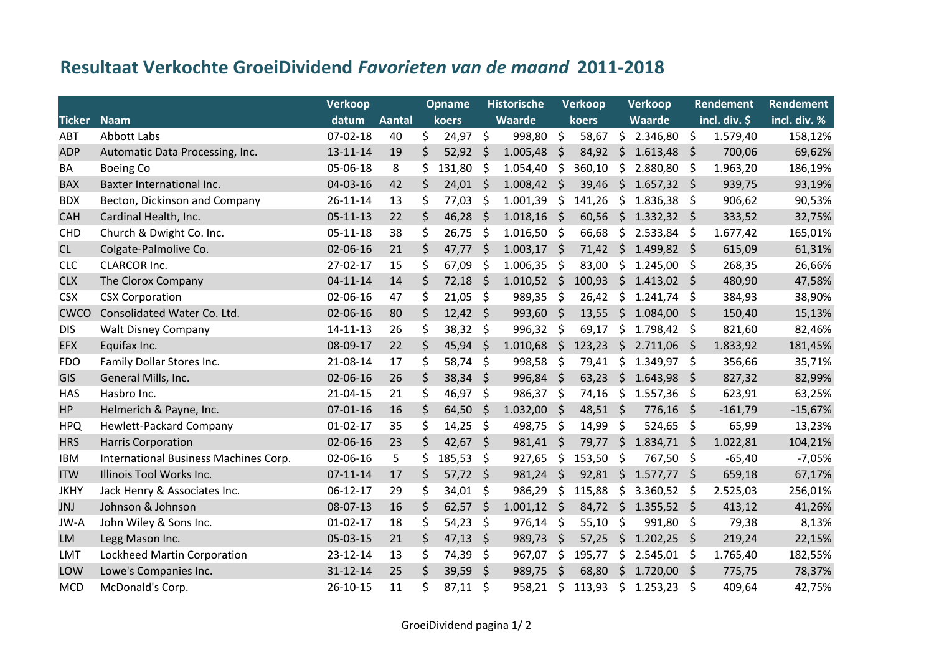## **Resultaat Verkochte GroeiDividend** *Favorieten van de maand* **2011-2018**

|               |                                       | Verkoop        |               | <b>Opname</b> |        | Historische  |               | <b>Verkoop</b>     |            | <b>Verkoop</b> |               | Rendement          |               | <b>Rendement</b> |
|---------------|---------------------------------------|----------------|---------------|---------------|--------|--------------|---------------|--------------------|------------|----------------|---------------|--------------------|---------------|------------------|
| <b>Ticker</b> | <b>Naam</b>                           | datum          | <b>Aantal</b> |               | koers  |              | Waarde        |                    | koers      |                | Waarde        |                    | incl. div. \$ | incl. div. %     |
| ABT           | Abbott Labs                           | $07-02-18$     | 40            | \$            | 24,97  | $\zeta$      | 998,80        | $\ddot{\varsigma}$ | 58,67      | $\zeta$        | 2.346,80      | $\ddot{\varsigma}$ | 1.579,40      | 158,12%          |
| <b>ADP</b>    | Automatic Data Processing, Inc.       | 13-11-14       | 19            | \$            | 52,92  | $\zeta$      | 1.005,48      | \$                 | 84,92      | $\zeta$        | 1.613,48      | \$                 | 700,06        | 69,62%           |
| BA            | <b>Boeing Co</b>                      | 05-06-18       | 8             | \$            | 131,80 | \$           | 1.054,40      | \$                 | 360,10     | \$             | 2.880,80      | \$                 | 1.963,20      | 186,19%          |
| <b>BAX</b>    | Baxter International Inc.             | 04-03-16       | 42            | \$            | 24,01  | <sub>S</sub> | 1.008,42      | \$                 | 39,46      | \$             | 1.657,32      | -\$                | 939,75        | 93,19%           |
| <b>BDX</b>    | Becton, Dickinson and Company         | 26-11-14       | 13            | \$            | 77,03  | \$           | 1.001,39      | \$                 | 141,26     | \$             | 1.836,38      | \$                 | 906,62        | 90,53%           |
| <b>CAH</b>    | Cardinal Health, Inc.                 | $05 - 11 - 13$ | 22            | \$            | 46,28  | \$           | 1.018,16      | - \$               | 60,56      | $\zeta$        | $1.332,32$ \$ |                    | 333,52        | 32,75%           |
| <b>CHD</b>    | Church & Dwight Co. Inc.              | $05 - 11 - 18$ | 38            | \$            | 26,75  | \$           | $1.016,50$ \$ |                    | 66,68      | \$             | 2.533,84      | \$                 | 1.677,42      | 165,01%          |
| CL            | Colgate-Palmolive Co.                 | 02-06-16       | 21            | \$            | 47,77  | \$           | 1.003,17      | - \$               | 71,42      |                | \$1.499,82    | $\zeta$            | 615,09        | 61,31%           |
| <b>CLC</b>    | <b>CLARCOR Inc.</b>                   | 27-02-17       | 15            | \$            | 67,09  | \$           | 1.006,35      | \$                 | 83,00      | \$             | 1.245,00      | \$                 | 268,35        | 26,66%           |
| <b>CLX</b>    | The Clorox Company                    | $04 - 11 - 14$ | 14            | \$            | 72,18  | $\zeta$      | 1.010,52      | $\zeta$            | 100,93     | \$             | 1.413,02      | -\$                | 480,90        | 47,58%           |
| <b>CSX</b>    | <b>CSX Corporation</b>                | 02-06-16       | 47            | \$            | 21,05  | \$           | 989,35        | \$                 | 26,42      | \$             | 1.241,74      | \$                 | 384,93        | 38,90%           |
| <b>CWCO</b>   | Consolidated Water Co. Ltd.           | 02-06-16       | 80            | \$            | 12,42  | $\zeta$      | 993,60        | - \$               | 13,55      | $\zeta$        | 1.084,00      | \$                 | 150,40        | 15,13%           |
| <b>DIS</b>    | <b>Walt Disney Company</b>            | 14-11-13       | 26            | \$            | 38,32  | \$           | 996,32        | \$                 | 69,17      | \$             | 1.798,42      | \$                 | 821,60        | 82,46%           |
| <b>EFX</b>    | Equifax Inc.                          | 08-09-17       | 22            | \$            | 45,94  | \$           | 1.010,68      | \$                 | 123,23     | \$             | 2.711,06      | \$.                | 1.833,92      | 181,45%          |
| <b>FDO</b>    | Family Dollar Stores Inc.             | 21-08-14       | 17            | \$            | 58,74  | \$           | 998,58        | \$                 | 79,41      | \$             | 1.349,97      | \$                 | 356,66        | 35,71%           |
| GIS           | General Mills, Inc.                   | 02-06-16       | 26            | \$            | 38,34  | \$           | 996,84 \$     |                    | 63,23      | $\zeta$        | 1.643,98      | $\varsigma$        | 827,32        | 82,99%           |
| <b>HAS</b>    | Hasbro Inc.                           | 21-04-15       | 21            | \$            | 46,97  | \$           | 986,37        | -\$                | 74,16      | \$             | 1.557,36      | \$                 | 623,91        | 63,25%           |
| <b>HP</b>     | Helmerich & Payne, Inc.               | $07 - 01 - 16$ | 16            | \$            | 64,50  | $\zeta$      | 1.032,00      | -\$                | $48,51$ \$ |                | 776,16        | $\ddot{\varsigma}$ | $-161,79$     | $-15,67%$        |
| <b>HPQ</b>    | <b>Hewlett-Packard Company</b>        | $01-02-17$     | 35            | \$            | 14,25  | \$           | 498,75        | \$                 | 14,99      | \$             | 524,65        | \$                 | 65,99         | 13,23%           |
| <b>HRS</b>    | <b>Harris Corporation</b>             | 02-06-16       | 23            | \$            | 42,67  | \$           | 981,41        | \$                 | 79,77      | $\zeta$        | 1.834,71      | \$.                | 1.022,81      | 104,21%          |
| <b>IBM</b>    | International Business Machines Corp. | 02-06-16       | 5             | \$            | 185,53 | \$           | 927,65        | \$                 | 153,50     | \$             | 767,50        | -\$                | $-65,40$      | $-7,05%$         |
| <b>ITW</b>    | Illinois Tool Works Inc.              | $07 - 11 - 14$ | 17            | \$            | 57,72  | $\zeta$      | 981,24        | $\zeta$            | 92,81      | $\ddot{\zeta}$ | $1.577,77$ \$ |                    | 659,18        | 67,17%           |
| <b>JKHY</b>   | Jack Henry & Associates Inc.          | 06-12-17       | 29            | \$            | 34,01  | \$           | 986,29        | \$                 | 115,88     | \$             | 3.360,52      | \$                 | 2.525,03      | 256,01%          |
| <b>JNJ</b>    | Johnson & Johnson                     | 08-07-13       | 16            | \$            | 62,57  | $\zeta$      | 1.001,12      | \$                 | 84,72      | $\zeta$        | 1.355,52      | \$                 | 413,12        | 41,26%           |
| JW-A          | John Wiley & Sons Inc.                | $01 - 02 - 17$ | 18            | \$            | 54,23  | \$           | 976,14        | \$                 | 55,10      | \$             | 991,80        | \$                 | 79,38         | 8,13%            |
| <b>LM</b>     | Legg Mason Inc.                       | 05-03-15       | 21            | \$            | 47,13  | \$           | 989,73        | \$                 | 57,25      | $\zeta$        | 1.202,25      | $\ddot{\phi}$      | 219,24        | 22,15%           |
| <b>LMT</b>    | Lockheed Martin Corporation           | 23-12-14       | 13            | \$            | 74,39  | \$           | 967,07        | \$                 | 195,77     | \$             | 2.545,01      | \$                 | 1.765,40      | 182,55%          |
| LOW           | Lowe's Companies Inc.                 | 31-12-14       | 25            | \$            | 39,59  | \$           | 989,75        | \$                 | 68,80      | $\zeta$        | $1.720,00$ \$ |                    | 775,75        | 78,37%           |
| <b>MCD</b>    | McDonald's Corp.                      | 26-10-15       | 11            | \$            | 87,11  | \$           | 958,21        | \$                 | 113,93     | $\zeta$        | 1.253,23      | \$                 | 409,64        | 42,75%           |